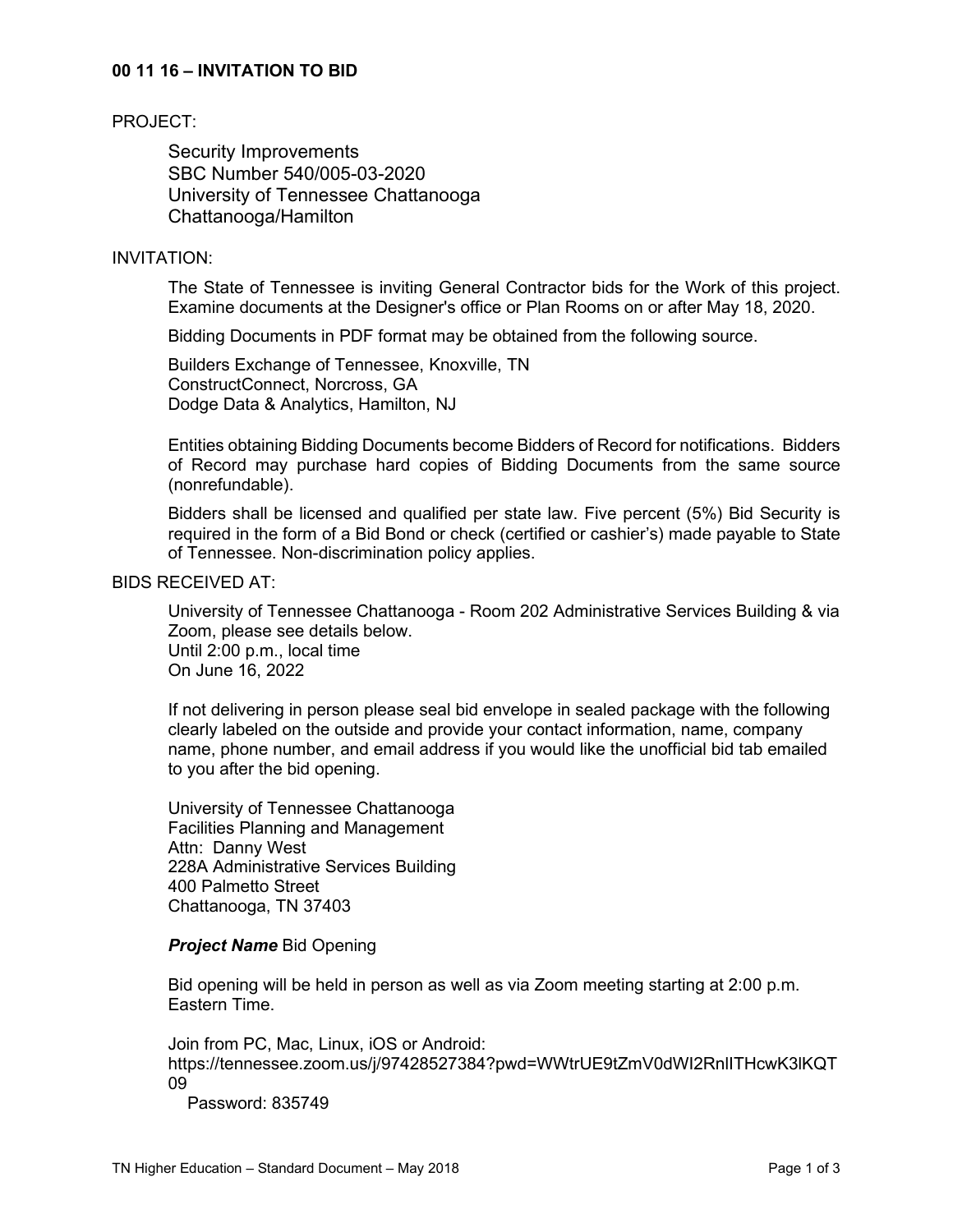### **00 11 16 – INVITATION TO BID**

#### PROJECT:

Security Improvements SBC Number 540/005-03-2020 University of Tennessee Chattanooga Chattanooga/Hamilton

#### INVITATION:

The State of Tennessee is inviting General Contractor bids for the Work of this project. Examine documents at the Designer's office or Plan Rooms on or after May 18, 2020.

Bidding Documents in PDF format may be obtained from the following source.

Builders Exchange of Tennessee, Knoxville, TN ConstructConnect, Norcross, GA Dodge Data & Analytics, Hamilton, NJ

Entities obtaining Bidding Documents become Bidders of Record for notifications. Bidders of Record may purchase hard copies of Bidding Documents from the same source (nonrefundable).

Bidders shall be licensed and qualified per state law. Five percent (5%) Bid Security is required in the form of a Bid Bond or check (certified or cashier's) made payable to State of Tennessee. Non-discrimination policy applies.

## BIDS RECEIVED AT:

University of Tennessee Chattanooga - Room 202 Administrative Services Building & via Zoom, please see details below. Until 2:00 p.m., local time On June 16, 2022

If not delivering in person please seal bid envelope in sealed package with the following clearly labeled on the outside and provide your contact information, name, company name, phone number, and email address if you would like the unofficial bid tab emailed to you after the bid opening.

University of Tennessee Chattanooga Facilities Planning and Management Attn: Danny West 228A Administrative Services Building 400 Palmetto Street Chattanooga, TN 37403

### *Project Name* Bid Opening

Bid opening will be held in person as well as via Zoom meeting starting at 2:00 p.m. Eastern Time.

Join from PC, Mac, Linux, iOS or Android: https://tennessee.zoom.us/j/97428527384?pwd=WWtrUE9tZmV0dWI2RnlITHcwK3lKQT 09

Password: 835749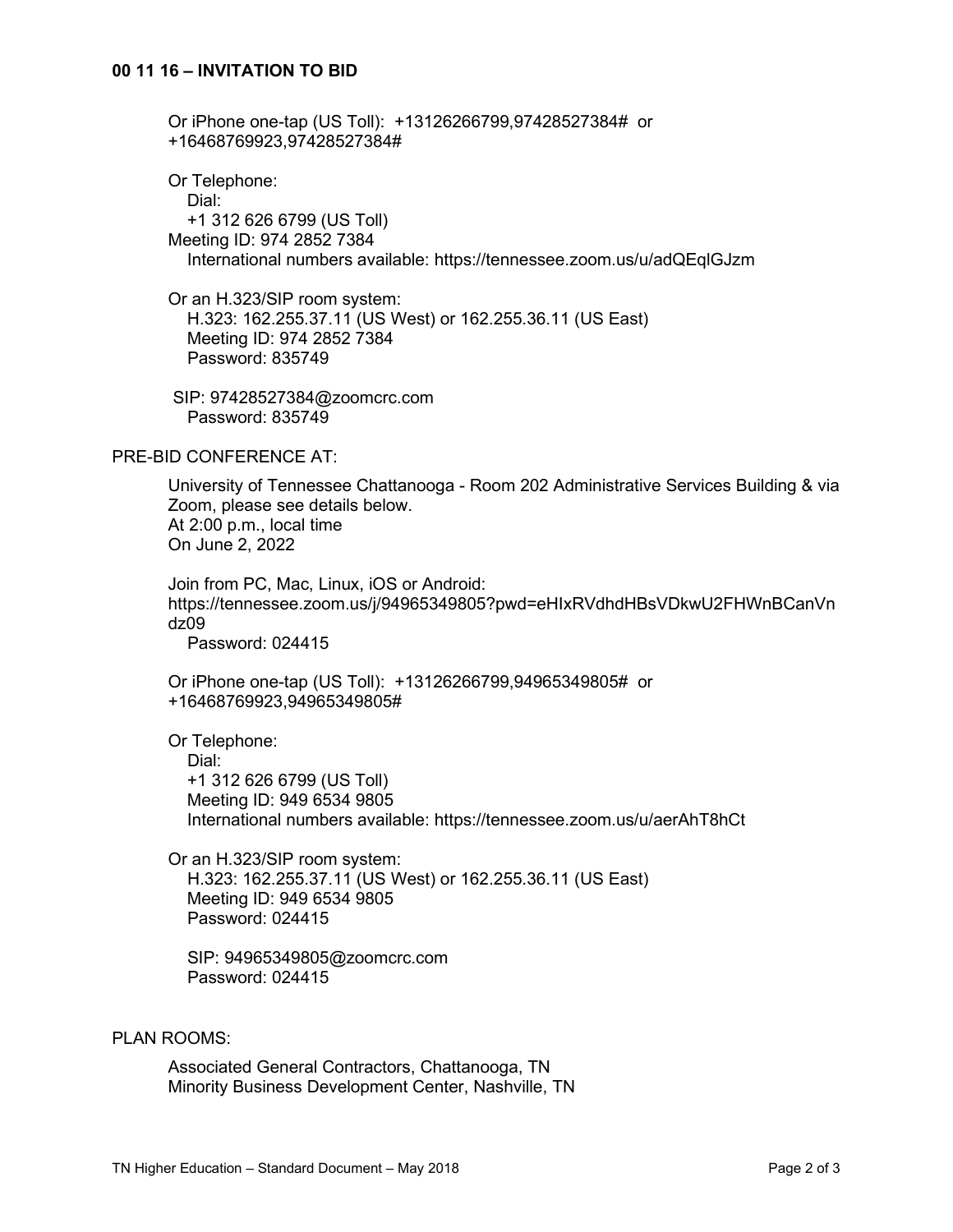Or iPhone one-tap (US Toll): +13126266799,97428527384# or +16468769923,97428527384#

Or Telephone: Dial: +1 312 626 6799 (US Toll) Meeting ID: 974 2852 7384 International numbers available: https://tennessee.zoom.us/u/adQEqlGJzm

Or an H.323/SIP room system: H.323: 162.255.37.11 (US West) or 162.255.36.11 (US East) Meeting ID: 974 2852 7384 Password: 835749

SIP: 97428527384@zoomcrc.com Password: 835749

### PRE-BID CONFERENCE AT:

University of Tennessee Chattanooga - Room 202 Administrative Services Building & via Zoom, please see details below. At 2:00 p.m., local time On June 2, 2022

Join from PC, Mac, Linux, iOS or Android: https://tennessee.zoom.us/j/94965349805?pwd=eHIxRVdhdHBsVDkwU2FHWnBCanVn dz09

Password: 024415

Or iPhone one-tap (US Toll): +13126266799,94965349805# or +16468769923,94965349805#

Or Telephone: Dial: +1 312 626 6799 (US Toll) Meeting ID: 949 6534 9805 International numbers available: https://tennessee.zoom.us/u/aerAhT8hCt

Or an H.323/SIP room system: H.323: 162.255.37.11 (US West) or 162.255.36.11 (US East) Meeting ID: 949 6534 9805 Password: 024415

 SIP: 94965349805@zoomcrc.com Password: 024415

#### PLAN ROOMS:

Associated General Contractors, Chattanooga, TN Minority Business Development Center, Nashville, TN